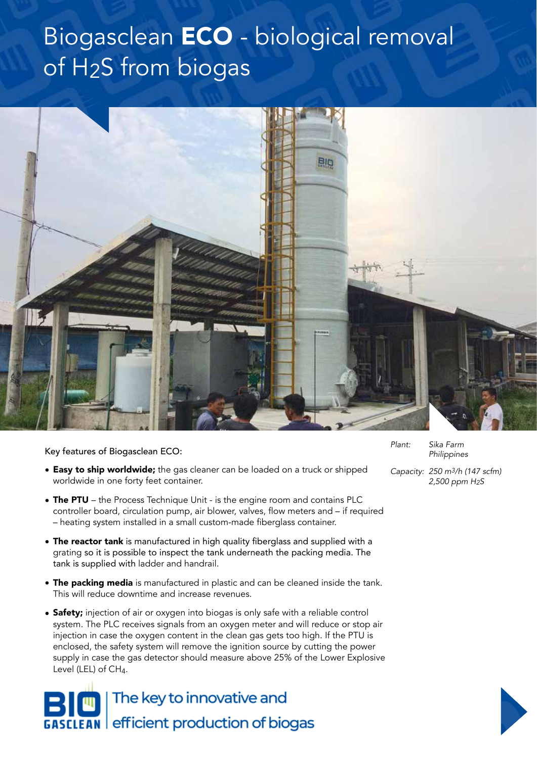## Biogasclean ECO - biological removal of H2S from biogas



## Key features of Biogasclean ECO:

- **Easy to ship worldwide;** the gas cleaner can be loaded on a truck or shipped worldwide in one forty feet container.
- $\bullet$  The PTU the Process Technique Unit is the engine room and contains PLC controller board, circulation pump, air blower, valves, flow meters and – if required – heating system installed in a small custom-made fiberglass container.
- The reactor tank is manufactured in high quality fiberglass and supplied with a grating so it is possible to inspect the tank underneath the packing media. The tank is supplied with ladder and handrail.
- **The packing media** is manufactured in plastic and can be cleaned inside the tank. This will reduce downtime and increase revenues.
- Safety; injection of air or oxygen into biogas is only safe with a reliable control system. The PLC receives signals from an oxygen meter and will reduce or stop air injection in case the oxygen content in the clean gas gets too high. If the PTU is enclosed, the safety system will remove the ignition source by cutting the power supply in case the gas detector should measure above 25% of the Lower Explosive Level (LEL) of  $CH<sub>4</sub>$ .

The key to innovative and **GASCLEAN** efficient production of biogas *Plant: Sika Farm Philippines*

*Capacity: 250 m3/h (147 scfm) 2,500 ppm H2S*